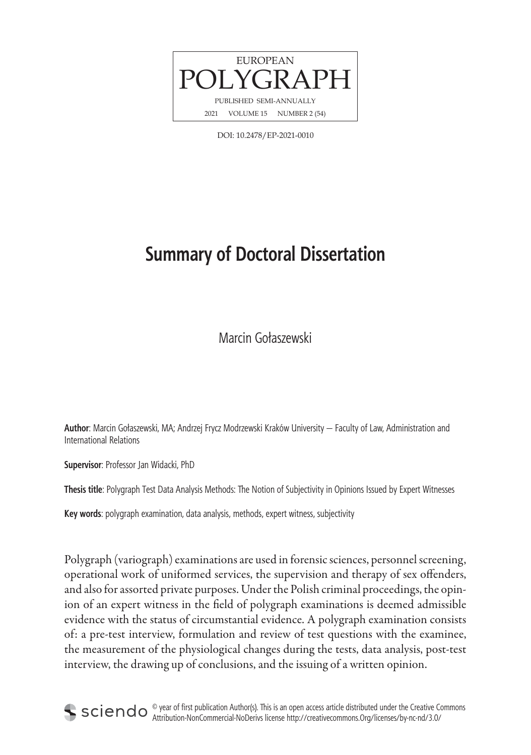

DOI: 10.2478/EP-2021-0010

## **Summary of Doctoral Dissertation**

Marcin Gołaszewski

**Author**: Marcin Gołaszewski, MA; Andrzej Frycz Modrzewski Kraków University — Faculty of Law, Administration and International Relations

**Supervisor**: Professor Jan Widacki, PhD

**Thesis title**: Polygraph Test Data Analysis Methods: The Notion of Subjectivity in Opinions Issued by Expert Witnesses

**Key words**: polygraph examination, data analysis, methods, expert witness, subjectivity

Polygraph (variograph) examinations are used in forensic sciences, personnel screening, operational work of uniformed services, the supervision and therapy of sex offenders, and also for assorted private purposes. Under the Polish criminal proceedings, the opinion of an expert witness in the field of polygraph examinations is deemed admissible evidence with the status of circumstantial evidence. A polygraph examination consists of: a pre-test interview, formulation and review of test questions with the examinee, the measurement of the physiological changes during the tests, data analysis, post-test interview, the drawing up of conclusions, and the issuing of a written opinion.

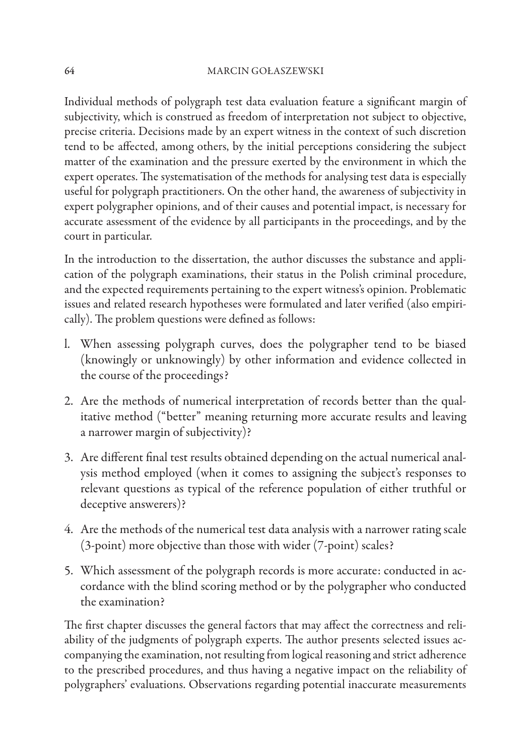Individual methods of polygraph test data evaluation feature a significant margin of subjectivity, which is construed as freedom of interpretation not subject to objective, precise criteria. Decisions made by an expert witness in the context of such discretion tend to be affected, among others, by the initial perceptions considering the subject matter of the examination and the pressure exerted by the environment in which the expert operates. The systematisation of the methods for analysing test data is especially useful for polygraph practitioners. On the other hand, the awareness of subjectivity in expert polygrapher opinions, and of their causes and potential impact, is necessary for accurate assessment of the evidence by all participants in the proceedings, and by the court in particular.

In the introduction to the dissertation, the author discusses the substance and application of the polygraph examinations, their status in the Polish criminal procedure, and the expected requirements pertaining to the expert witness's opinion. Problematic issues and related research hypotheses were formulated and later verified (also empirically). The problem questions were defined as follows:

- l. When assessing polygraph curves, does the polygrapher tend to be biased (knowingly or unknowingly) by other information and evidence collected in the course of the proceedings?
- 2. Are the methods of numerical interpretation of records better than the qualitative method ("better" meaning returning more accurate results and leaving a narrower margin of subjectivity)?
- 3. Are different final test results obtained depending on the actual numerical analysis method employed (when it comes to assigning the subject's responses to relevant questions as typical of the reference population of either truthful or deceptive answerers)?
- 4. Are the methods of the numerical test data analysis with a narrower rating scale (3-point) more objective than those with wider (7-point) scales?
- 5. Which assessment of the polygraph records is more accurate: conducted in accordance with the blind scoring method or by the polygrapher who conducted the examination?

The first chapter discusses the general factors that may affect the correctness and reliability of the judgments of polygraph experts. The author presents selected issues accompanying the examination, not resulting from logical reasoning and strict adherence to the prescribed procedures, and thus having a negative impact on the reliability of polygraphers' evaluations. Observations regarding potential inaccurate measurements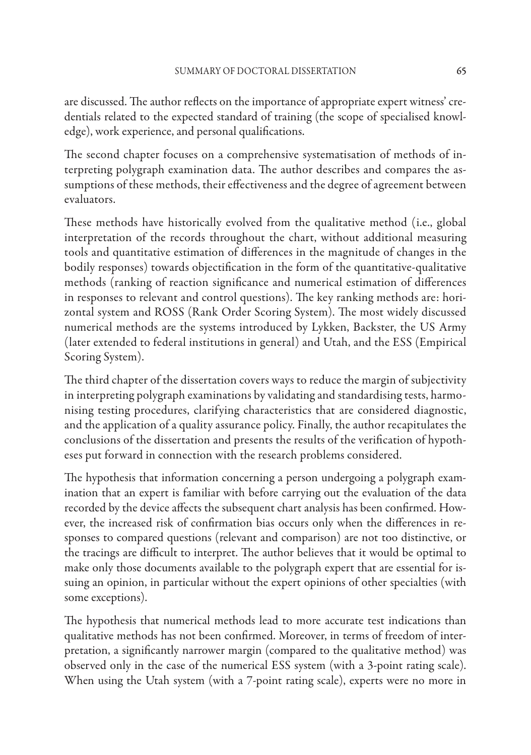are discussed. The author reflects on the importance of appropriate expert witness' credentials related to the expected standard of training (the scope of specialised knowledge), work experience, and personal qualifications.

The second chapter focuses on a comprehensive systematisation of methods of interpreting polygraph examination data. The author describes and compares the assumptions of these methods, their effectiveness and the degree of agreement between evaluators.

These methods have historically evolved from the qualitative method (i.e., global interpretation of the records throughout the chart, without additional measuring tools and quantitative estimation of differences in the magnitude of changes in the bodily responses) towards objectification in the form of the quantitative-qualitative methods (ranking of reaction significance and numerical estimation of differences in responses to relevant and control questions). The key ranking methods are: horizontal system and ROSS (Rank Order Scoring System). The most widely discussed numerical methods are the systems introduced by Lykken, Backster, the US Army (later extended to federal institutions in general) and Utah, and the ESS (Empirical Scoring System).

The third chapter of the dissertation covers ways to reduce the margin of subjectivity in interpreting polygraph examinations by validating and standardising tests, harmonising testing procedures, clarifying characteristics that are considered diagnostic, and the application of a quality assurance policy. Finally, the author recapitulates the conclusions of the dissertation and presents the results of the verification of hypotheses put forward in connection with the research problems considered.

The hypothesis that information concerning a person undergoing a polygraph examination that an expert is familiar with before carrying out the evaluation of the data recorded by the device affects the subsequent chart analysis has been confirmed. However, the increased risk of confirmation bias occurs only when the differences in responses to compared questions (relevant and comparison) are not too distinctive, or the tracings are difficult to interpret. The author believes that it would be optimal to make only those documents available to the polygraph expert that are essential for issuing an opinion, in particular without the expert opinions of other specialties (with some exceptions).

The hypothesis that numerical methods lead to more accurate test indications than qualitative methods has not been confirmed. Moreover, in terms of freedom of interpretation, a significantly narrower margin (compared to the qualitative method) was observed only in the case of the numerical ESS system (with a 3-point rating scale). When using the Utah system (with a 7-point rating scale), experts were no more in